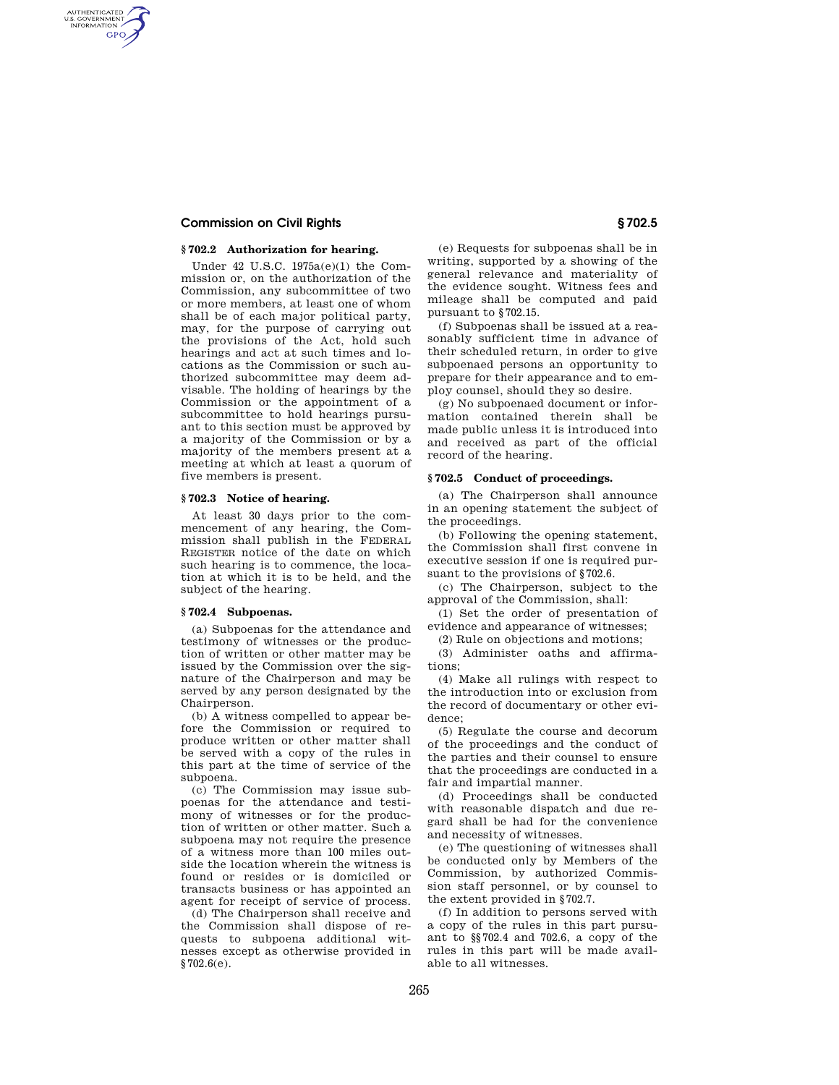# **Commission on Civil Rights § 702.5**

AUTHENTICATED<br>U.S. GOVERNMENT<br>INFORMATION GPO

## **§ 702.2 Authorization for hearing.**

Under 42 U.S.C. 1975a(e)(1) the Commission or, on the authorization of the Commission, any subcommittee of two or more members, at least one of whom shall be of each major political party, may, for the purpose of carrying out the provisions of the Act, hold such hearings and act at such times and locations as the Commission or such authorized subcommittee may deem advisable. The holding of hearings by the Commission or the appointment of a subcommittee to hold hearings pursuant to this section must be approved by a majority of the Commission or by a majority of the members present at a meeting at which at least a quorum of five members is present.

## **§ 702.3 Notice of hearing.**

At least 30 days prior to the commencement of any hearing, the Commission shall publish in the FEDERAL REGISTER notice of the date on which such hearing is to commence, the location at which it is to be held, and the subject of the hearing.

## **§ 702.4 Subpoenas.**

(a) Subpoenas for the attendance and testimony of witnesses or the production of written or other matter may be issued by the Commission over the signature of the Chairperson and may be served by any person designated by the Chairperson.

(b) A witness compelled to appear before the Commission or required to produce written or other matter shall be served with a copy of the rules in this part at the time of service of the subpoena.

(c) The Commission may issue subpoenas for the attendance and testimony of witnesses or for the production of written or other matter. Such a subpoena may not require the presence of a witness more than 100 miles outside the location wherein the witness is found or resides or is domiciled or transacts business or has appointed an agent for receipt of service of process.

(d) The Chairperson shall receive and the Commission shall dispose of requests to subpoena additional witnesses except as otherwise provided in §702.6(e).

(e) Requests for subpoenas shall be in writing, supported by a showing of the general relevance and materiality of the evidence sought. Witness fees and mileage shall be computed and paid pursuant to §702.15.

(f) Subpoenas shall be issued at a reasonably sufficient time in advance of their scheduled return, in order to give subpoenaed persons an opportunity to prepare for their appearance and to employ counsel, should they so desire.

(g) No subpoenaed document or information contained therein shall be made public unless it is introduced into and received as part of the official record of the hearing.

### **§ 702.5 Conduct of proceedings.**

(a) The Chairperson shall announce in an opening statement the subject of the proceedings.

(b) Following the opening statement, the Commission shall first convene in executive session if one is required pursuant to the provisions of §702.6.

(c) The Chairperson, subject to the approval of the Commission, shall:

(1) Set the order of presentation of evidence and appearance of witnesses;

(2) Rule on objections and motions;

(3) Administer oaths and affirmations;

(4) Make all rulings with respect to the introduction into or exclusion from the record of documentary or other evidence;

(5) Regulate the course and decorum of the proceedings and the conduct of the parties and their counsel to ensure that the proceedings are conducted in a fair and impartial manner.

(d) Proceedings shall be conducted with reasonable dispatch and due regard shall be had for the convenience and necessity of witnesses.

(e) The questioning of witnesses shall be conducted only by Members of the Commission, by authorized Commission staff personnel, or by counsel to the extent provided in §702.7.

(f) In addition to persons served with a copy of the rules in this part pursuant to §§702.4 and 702.6, a copy of the rules in this part will be made available to all witnesses.